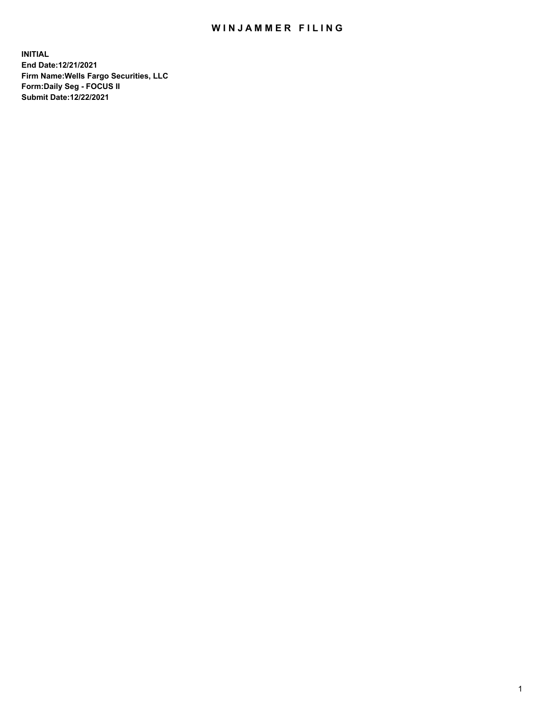## WIN JAMMER FILING

**INITIAL End Date:12/21/2021 Firm Name:Wells Fargo Securities, LLC Form:Daily Seg - FOCUS II Submit Date:12/22/2021**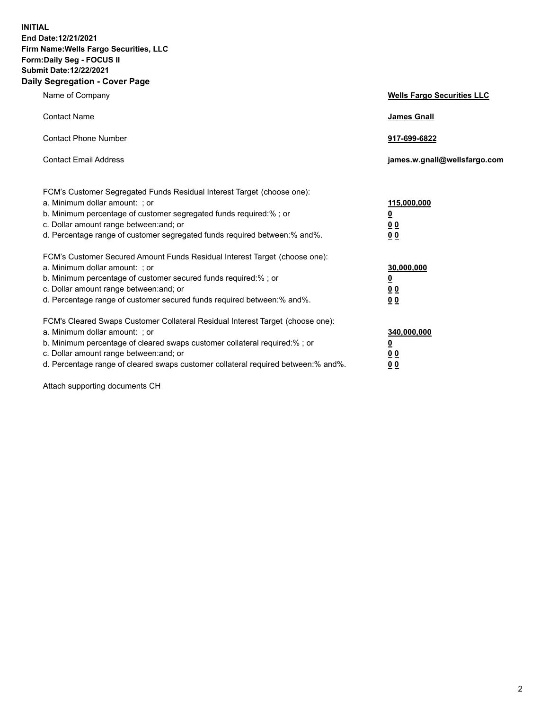**INITIAL End Date:12/21/2021 Firm Name:Wells Fargo Securities, LLC Form:Daily Seg - FOCUS II Submit Date:12/22/2021 Daily Segregation - Cover Page**

| Name of Company                                                                                                                                                                                                                                                                                                                | <b>Wells Fargo Securities LLC</b>                          |
|--------------------------------------------------------------------------------------------------------------------------------------------------------------------------------------------------------------------------------------------------------------------------------------------------------------------------------|------------------------------------------------------------|
| <b>Contact Name</b>                                                                                                                                                                                                                                                                                                            | <b>James Gnall</b>                                         |
| <b>Contact Phone Number</b>                                                                                                                                                                                                                                                                                                    | 917-699-6822                                               |
| <b>Contact Email Address</b>                                                                                                                                                                                                                                                                                                   | james.w.gnall@wellsfargo.com                               |
| FCM's Customer Segregated Funds Residual Interest Target (choose one):<br>a. Minimum dollar amount: ; or<br>b. Minimum percentage of customer segregated funds required:% ; or<br>c. Dollar amount range between: and; or<br>d. Percentage range of customer segregated funds required between:% and%.                         | 115,000,000<br><u>0</u><br>0 <sub>0</sub><br>00            |
| FCM's Customer Secured Amount Funds Residual Interest Target (choose one):<br>a. Minimum dollar amount: ; or<br>b. Minimum percentage of customer secured funds required:%; or<br>c. Dollar amount range between: and; or<br>d. Percentage range of customer secured funds required between:% and%.                            | 30,000,000<br><u>0</u><br>0 <sub>0</sub><br>0 <sub>0</sub> |
| FCM's Cleared Swaps Customer Collateral Residual Interest Target (choose one):<br>a. Minimum dollar amount: ; or<br>b. Minimum percentage of cleared swaps customer collateral required:% ; or<br>c. Dollar amount range between: and; or<br>d. Percentage range of cleared swaps customer collateral required between:% and%. | 340,000,000<br><u>0</u><br>00<br>00                        |

Attach supporting documents CH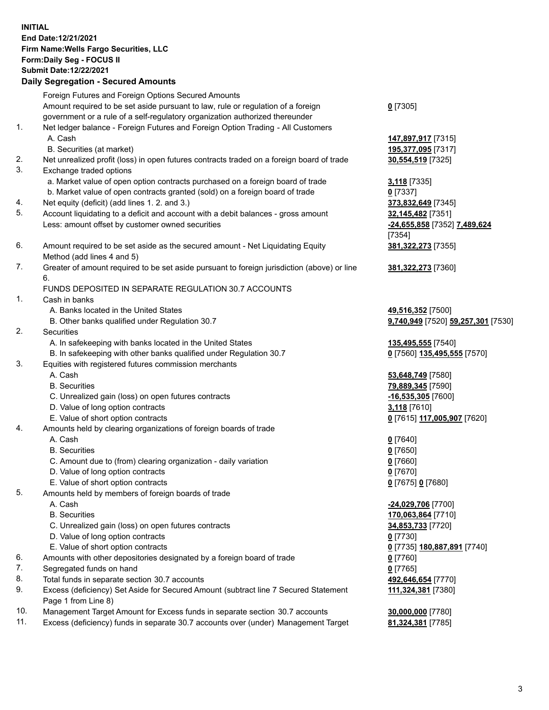**INITIAL End Date:12/21/2021 Firm Name:Wells Fargo Securities, LLC Form:Daily Seg - FOCUS II Submit Date:12/22/2021 Daily Segregation - Secured Amounts**

Foreign Futures and Foreign Options Secured Amounts Amount required to be set aside pursuant to law, rule or regulation of a foreign government or a rule of a self-regulatory organization authorized thereunder **0** [7305] 1. Net ledger balance - Foreign Futures and Foreign Option Trading - All Customers A. Cash **147,897,917** [7315] B. Securities (at market) **195,377,095** [7317] 2. Net unrealized profit (loss) in open futures contracts traded on a foreign board of trade **30,554,519** [7325] 3. Exchange traded options a. Market value of open option contracts purchased on a foreign board of trade **3,118** [7335] b. Market value of open contracts granted (sold) on a foreign board of trade **0** [7337] 4. Net equity (deficit) (add lines 1. 2. and 3.) **373,832,649** [7345] 5. Account liquidating to a deficit and account with a debit balances - gross amount **32,145,482** [7351] Less: amount offset by customer owned securities **-24,655,858** [7352] **7,489,624** [7354] 6. Amount required to be set aside as the secured amount - Net Liquidating Equity Method (add lines 4 and 5) **381,322,273** [7355] 7. Greater of amount required to be set aside pursuant to foreign jurisdiction (above) or line 6. **381,322,273** [7360] FUNDS DEPOSITED IN SEPARATE REGULATION 30.7 ACCOUNTS 1. Cash in banks A. Banks located in the United States **49,516,352** [7500] B. Other banks qualified under Regulation 30.7 **9,740,949** [7520] **59,257,301** [7530] 2. Securities A. In safekeeping with banks located in the United States **135,495,555** [7540] B. In safekeeping with other banks qualified under Regulation 30.7 **0** [7560] **135,495,555** [7570] 3. Equities with registered futures commission merchants A. Cash **53,648,749** [7580] B. Securities **79,889,345** [7590] C. Unrealized gain (loss) on open futures contracts **-16,535,305** [7600] D. Value of long option contracts **3,118** [7610] E. Value of short option contracts **0** [7615] **117,005,907** [7620] 4. Amounts held by clearing organizations of foreign boards of trade A. Cash **0** [7640] B. Securities **0** [7650] C. Amount due to (from) clearing organization - daily variation **0** [7660] D. Value of long option contracts **0** [7670] E. Value of short option contracts **0** [7675] **0** [7680] 5. Amounts held by members of foreign boards of trade A. Cash **-24,029,706** [7700] B. Securities **170,063,864** [7710] C. Unrealized gain (loss) on open futures contracts **34,853,733** [7720] D. Value of long option contracts **0** [7730] E. Value of short option contracts **0** [7735] **180,887,891** [7740] 6. Amounts with other depositories designated by a foreign board of trade **0** [7760] 7. Segregated funds on hand **0** [7765]

- 8. Total funds in separate section 30.7 accounts **492,646,654** [7770]
- 9. Excess (deficiency) Set Aside for Secured Amount (subtract line 7 Secured Statement Page 1 from Line 8)
- 10. Management Target Amount for Excess funds in separate section 30.7 accounts **30,000,000** [7780]
- 11. Excess (deficiency) funds in separate 30.7 accounts over (under) Management Target **81,324,381** [7785]

**111,324,381** [7380]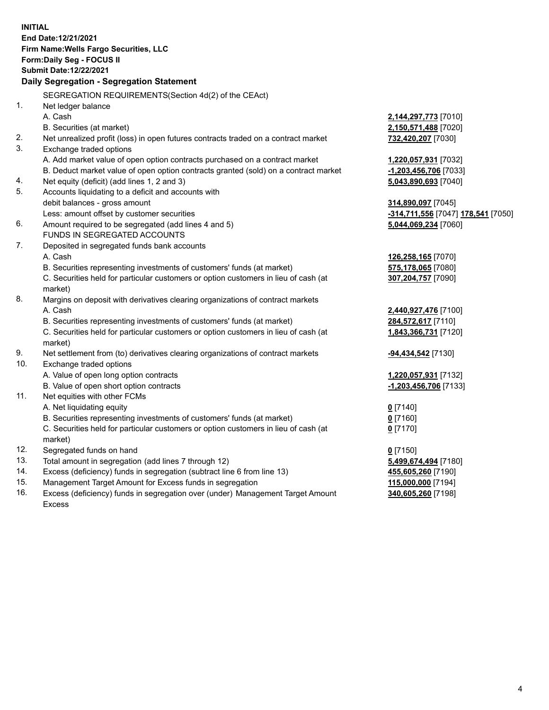**INITIAL End Date:12/21/2021 Firm Name:Wells Fargo Securities, LLC Form:Daily Seg - FOCUS II Submit Date:12/22/2021 Daily Segregation - Segregation Statement** SEGREGATION REQUIREMENTS(Section 4d(2) of the CEAct) 1. Net ledger balance A. Cash **2,144,297,773** [7010] B. Securities (at market) **2,150,571,488** [7020] 2. Net unrealized profit (loss) in open futures contracts traded on a contract market **732,420,207** [7030] 3. Exchange traded options A. Add market value of open option contracts purchased on a contract market **1,220,057,931** [7032] B. Deduct market value of open option contracts granted (sold) on a contract market **-1,203,456,706** [7033] 4. Net equity (deficit) (add lines 1, 2 and 3) **5,043,890,693** [7040] 5. Accounts liquidating to a deficit and accounts with debit balances - gross amount **314,890,097** [7045] Less: amount offset by customer securities **-314,711,556** [7047] **178,541** [7050] 6. Amount required to be segregated (add lines 4 and 5) **5,044,069,234** [7060] FUNDS IN SEGREGATED ACCOUNTS 7. Deposited in segregated funds bank accounts A. Cash **126,258,165** [7070] B. Securities representing investments of customers' funds (at market) **575,178,065** [7080] C. Securities held for particular customers or option customers in lieu of cash (at market) **307,204,757** [7090] 8. Margins on deposit with derivatives clearing organizations of contract markets A. Cash **2,440,927,476** [7100] B. Securities representing investments of customers' funds (at market) **284,572,617** [7110] C. Securities held for particular customers or option customers in lieu of cash (at market) **1,843,366,731** [7120] 9. Net settlement from (to) derivatives clearing organizations of contract markets **-94,434,542** [7130] 10. Exchange traded options A. Value of open long option contracts **1,220,057,931** [7132] B. Value of open short option contracts **-1,203,456,706** [7133] 11. Net equities with other FCMs A. Net liquidating equity **0** [7140] B. Securities representing investments of customers' funds (at market) **0** [7160] C. Securities held for particular customers or option customers in lieu of cash (at market) **0** [7170] 12. Segregated funds on hand **0** [7150]

- 
- 13. Total amount in segregation (add lines 7 through 12) **5,499,674,494** [7180]
- 14. Excess (deficiency) funds in segregation (subtract line 6 from line 13) **455,605,260** [7190]
- 15. Management Target Amount for Excess funds in segregation **115,000,000** [7194]
- 16. Excess (deficiency) funds in segregation over (under) Management Target Amount Excess

**340,605,260** [7198]